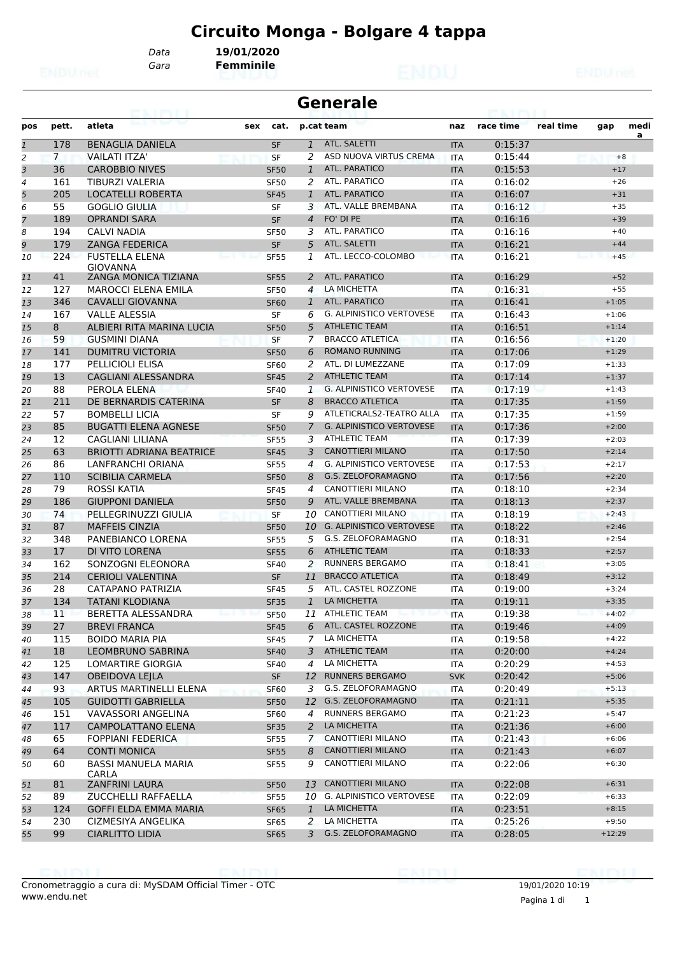# **Circuito Monga - Bolgare 4 tappa**

*Data* **19/01/2020**

*Gara* **Femminile**

| <b>Generale</b><br>63. I KY I |                |                                            |                            |                |                                               |                   |                    |           |                    |           |
|-------------------------------|----------------|--------------------------------------------|----------------------------|----------------|-----------------------------------------------|-------------------|--------------------|-----------|--------------------|-----------|
| pos                           | pett.          | atleta                                     | cat.<br>sex                |                | p.cat team                                    | naz               | race time          | real time | gap                | medi<br>a |
| $\mathbf{1}$                  | 178            | <b>BENAGLIA DANIELA</b>                    | <b>SF</b>                  | $\mathbf{1}$   | ATL. SALETTI                                  | <b>ITA</b>        | 0:15:37            |           |                    |           |
| 2                             | $\overline{7}$ | <b>VAILATI ITZA'</b>                       | <b>SF</b>                  | 2              | ASD NUOVA VIRTUS CREMA                        | <b>ITA</b>        | 0:15:44            |           |                    | $+8$      |
| 3                             | 36             | <b>CAROBBIO NIVES</b>                      | <b>SF50</b>                | $\mathbf{1}$   | ATL. PARATICO                                 | <b>ITA</b>        | 0:15:53            |           | $+17$              |           |
| $\overline{4}$                | 161            | TIBURZI VALERIA                            | <b>SF50</b>                | 2              | ATL. PARATICO                                 | <b>ITA</b>        | 0:16:02            |           | $+26$              |           |
| 5                             | 205            | LOCATELLI ROBERTA                          | <b>SF45</b>                | $\mathbf{1}$   | <b>ATL. PARATICO</b>                          | <b>ITA</b>        | 0:16:07            |           | $+31$              |           |
| 6                             | 55             | GOGLIO GIULIA                              | SF                         | 3              | ATL. VALLE BREMBANA                           | ITA               | 0:16:12            |           | $+35$              |           |
| $\overline{7}$                | 189            | <b>OPRANDI SARA</b>                        | <b>SF</b>                  | $\overline{4}$ | FO' DI PE                                     | <b>ITA</b>        | 0:16:16            |           | $+39$              |           |
| 8                             | 194            | CALVI NADIA                                | <b>SF50</b>                | 3              | ATL. PARATICO                                 | <b>ITA</b>        | 0:16:16            |           | $+40$              |           |
| 9                             | 179            | <b>ZANGA FEDERICA</b>                      | <b>SF</b>                  | 5              | ATL. SALETTI                                  | <b>ITA</b>        | 0:16:21            |           | $+44$              |           |
| 10                            | 224            | <b>FUSTELLA ELENA</b><br><b>GIOVANNA</b>   | <b>SF55</b>                | 1              | ATL. LECCO-COLOMBO                            | <b>ITA</b>        | 0:16:21            |           | $+45$              |           |
| 11                            | 41             | <b>ZANGA MONICA TIZIANA</b>                | <b>SF55</b>                | 2              | ATL. PARATICO                                 | <b>ITA</b>        | 0:16:29            |           | $+52$              |           |
| 12                            | 127            | <b>MAROCCI ELENA EMILA</b>                 | <b>SF50</b>                | 4              | LA MICHETTA                                   | <b>ITA</b>        | 0:16:31            |           | $+55$              |           |
| 13                            | 346            | <b>CAVALLI GIOVANNA</b>                    | <b>SF60</b>                | 1              | ATL. PARATICO                                 | <b>ITA</b>        | 0:16:41            |           | $+1:05$            |           |
| 14                            | 167            | <b>VALLE ALESSIA</b>                       | SF                         | 6              | G. ALPINISTICO VERTOVESE                      | <b>ITA</b>        | 0:16:43            |           | $+1:06$            |           |
| 15                            | 8              | ALBIERI RITA MARINA LUCIA                  | <b>SF50</b>                | 5              | <b>ATHLETIC TEAM</b>                          | <b>ITA</b>        | 0:16:51            |           | $+1:14$            |           |
| 16                            | 59             | <b>GUSMINI DIANA</b>                       | SF                         | 7              | <b>BRACCO ATLETICA</b>                        | <b>ITA</b>        | 0:16:56            |           | $+1:20$            |           |
| 17                            | 141            | DUMITRU VICTORIA                           | <b>SF50</b>                | 6              | <b>ROMANO RUNNING</b>                         | <b>ITA</b>        | 0:17:06            |           | $+1:29$            |           |
| 18                            | 177            | <b>PELLICIOLI ELISA</b>                    | <b>SF60</b>                | 2              | ATL. DI LUMEZZANE                             | <b>ITA</b>        | 0:17:09            |           | $+1:33$            |           |
| 19                            | 13             | <b>CAGLIANI ALESSANDRA</b>                 | <b>SF45</b>                | 2              | <b>ATHLETIC TEAM</b>                          | <b>ITA</b>        | 0:17:14            |           | $+1:37$            |           |
| 20                            | 88             | PEROLA ELENA                               | <b>SF40</b>                | $\mathbf{1}$   | <b>G. ALPINISTICO VERTOVESE</b>               | <b>ITA</b>        | 0:17:19            |           | $+1:43$            |           |
| 21                            | 211            | DE BERNARDIS CATERINA                      | <b>SF</b>                  | 8              | <b>BRACCO ATLETICA</b>                        | <b>ITA</b>        | 0:17:35            |           | $+1:59$            |           |
| 22                            | 57             | <b>BOMBELLI LICIA</b>                      | SF                         | 9              | ATLETICRALS2-TEATRO ALLA                      | <b>ITA</b>        | 0:17:35            |           | $+1:59$            |           |
| 23                            | 85             | <b>BUGATTI ELENA AGNESE</b>                | <b>SF50</b>                | 7              | <b>G. ALPINISTICO VERTOVESE</b>               | <b>ITA</b>        | 0:17:36            |           | $+2:00$            |           |
| 24                            | 12             | CAGLIANI LILIANA                           | <b>SF55</b>                | 3              | <b>ATHLETIC TEAM</b>                          | <b>ITA</b>        | 0:17:39            |           | $+2:03$            |           |
| 25                            | 63             | BRIOTTI ADRIANA BEATRICE                   | <b>SF45</b>                | 3              | <b>CANOTTIERI MILANO</b>                      | <b>ITA</b>        | 0:17:50            |           | $+2:14$            |           |
| 26                            | 86             | LANFRANCHI ORIANA                          | <b>SF55</b>                | $\overline{4}$ | <b>G. ALPINISTICO VERTOVESE</b>               | <b>ITA</b>        | 0:17:53            |           | $+2:17$            |           |
| 27                            | 110            | <b>SCIBILIA CARMELA</b>                    | <b>SF50</b>                | 8              | G.S. ZELOFORAMAGNO                            | <b>ITA</b>        | 0:17:56            |           | $+2:20$            |           |
| 28                            | 79             | ROSSI KATIA                                | SF45                       | 4              | CANOTTIERI MILANO                             | ITA               | 0:18:10            |           | $+2:34$            |           |
| 29                            | 186            | <b>GIUPPONI DANIELA</b>                    | <b>SF50</b>                | 9              | ATL. VALLE BREMBANA                           | <b>ITA</b>        | 0:18:13            |           | $+2:37$            |           |
| 30                            | 74             | PELLEGRINUZZI GIULIA                       | <b>SF</b>                  | 10             | <b>CANOTTIERI MILANO</b>                      | <b>ITA</b>        | 0:18:19            |           | $+2:43$            |           |
| 31                            | 87             | <b>MAFFEIS CINZIA</b>                      | <b>SF50</b>                | 10             | <b>G. ALPINISTICO VERTOVESE</b>               | <b>ITA</b>        | 0:18:22            |           | $+2:46$            |           |
| 32                            | 348            | PANEBIANCO LORENA                          | <b>SF55</b>                | 5              | G.S. ZELOFORAMAGNO                            | <b>ITA</b>        | 0:18:31            |           | $+2:54$            |           |
| 33                            | 17             | DI VITO LORENA                             | <b>SF55</b>                | 6              | <b>ATHLETIC TEAM</b>                          | <b>ITA</b>        | 0:18:33            |           | $+2:57$            |           |
| 34                            | 162            | SONZOGNI ELEONORA                          | <b>SF40</b>                | 2              | <b>RUNNERS BERGAMO</b>                        | ITA               | 0:18:41            |           | $+3:05$            |           |
| 35                            | 214            | <b>CERIOLI VALENTINA</b>                   | <b>SF</b>                  | 11             | <b>BRACCO ATLETICA</b>                        | <b>ITA</b>        | 0:18:49            |           | $+3:12$            |           |
| 36                            | 28             | CATAPANO PATRIZIA                          | <b>SF45</b>                | 5              | ATL. CASTEL ROZZONE                           | <b>ITA</b>        | 0:19:00            |           | $+3:24$            |           |
| 37                            | 134            | TATANI KLODIANA                            | <b>SF35</b>                | $\mathbf{1}$   | LA MICHETTA                                   | <b>ITA</b>        | 0:19:11            |           | $+3:35$            |           |
| 38                            | 11             | BERETTA ALESSANDRA                         | <b>SF50</b>                |                | 11 ATHLETIC TEAM<br>ետ († 1911) հա            | ITA               | 0:19:38            |           | $+4:02$            |           |
| 39                            | 27             | <b>BREVI FRANCA</b>                        | <b>SF45</b>                | 6              | ATL. CASTEL ROZZONE                           | <b>ITA</b>        | 0:19:46            |           | $+4:09$            |           |
| 40                            | 115            | <b>BOIDO MARIA PIA</b>                     | <b>SF45</b>                | 7              | LA MICHETTA                                   | ITA               | 0:19:58            |           | $+4:22$            |           |
| 41                            | 18             | LEOMBRUNO SABRINA                          | <b>SF40</b>                | 3              | <b>ATHLETIC TEAM</b>                          | <b>ITA</b>        | 0:20:00            |           | $+4:24$            |           |
| 42                            | 125            | <b>LOMARTIRE GIORGIA</b>                   | <b>SF40</b>                | 4              | LA MICHETTA                                   |                   | 0:20:29            |           | $+4:53$            |           |
|                               | 147            | <b>OBEIDOVA LEILA</b>                      | SF                         | 12             | <b>RUNNERS BERGAMO</b>                        | ITA               | 0:20:42            |           |                    |           |
| 43                            |                |                                            |                            |                |                                               | <b>SVK</b>        |                    |           | $+5:06$            |           |
| 44                            | 93             | ARTUS MARTINELLI ELENA                     | SF <sub>60</sub>           | 3              | G.S. ZELOFORAMAGNO<br>12 G.S. ZELOFORAMAGNO   | ITA               | 0:20:49            |           | $+5:13$            |           |
| 45                            | 105            | <b>GUIDOTTI GABRIELLA</b>                  | <b>SF50</b>                |                |                                               | <b>ITA</b>        | 0:21:11            |           | $+5:35$            |           |
| 46                            | 151            | VAVASSORI ANGELINA                         | SF60                       | 4              | RUNNERS BERGAMO                               | ITA               | 0:21:23            |           | $+5:47$            |           |
| 47                            | 117            | CAMPOLATTANO ELENA                         | <b>SF35</b>                | 2              | LA MICHETTA                                   | <b>ITA</b>        | 0:21:36            |           | $+6:00$            |           |
| 48                            | 65             | <b>FOPPIANI FEDERICA</b>                   | SF55                       | 7              | CANOTTIERI MILANO                             | ITA               | 0:21:43            |           | $+6:06$            |           |
| 49<br>50                      | 64<br>60       | <b>CONTI MONICA</b><br>BASSI MANUELA MARIA | <b>SF55</b><br><b>SF55</b> | 8<br>9         | <b>CANOTTIERI MILANO</b><br>CANOTTIERI MILANO | <b>ITA</b><br>ITA | 0:21:43<br>0:22:06 |           | $+6:07$<br>$+6:30$ |           |
| 51                            | 81             | <b>CARLA</b><br><b>ZANFRINI LAURA</b>      | <b>SF50</b>                | 13             | <b>CANOTTIERI MILANO</b>                      | <b>ITA</b>        | 0:22:08            |           | $+6:31$            |           |
| 52                            | 89             | ZUCCHELLI RAFFAELLA                        | <b>SF55</b>                |                | 10 G. ALPINISTICO VERTOVESE                   | <b>ITA</b>        | 0:22:09            |           | $+6:33$            |           |
| 53                            | 124            | <b>GOFFI ELDA EMMA MARIA</b>               | <b>SF65</b>                | 1              | LA MICHETTA                                   | <b>ITA</b>        | 0:23:51            |           | $+8:15$            |           |
|                               | 230            | CIZMESIYA ANGELIKA                         |                            | 2              | LA MICHETTA                                   |                   | 0:25:26            |           | $+9:50$            |           |
| 54                            |                |                                            | <b>SF65</b>                |                | G.S. ZELOFORAMAGNO                            | ITA               |                    |           | $+12:29$           |           |
| 55                            | 99             | <b>CIARLITTO LIDIA</b>                     | <b>SF65</b>                | 3              |                                               | <b>ITA</b>        | 0:28:05            |           |                    |           |

19/01/2020 10:19

$$
\blacksquare \square \square \square \square \square
$$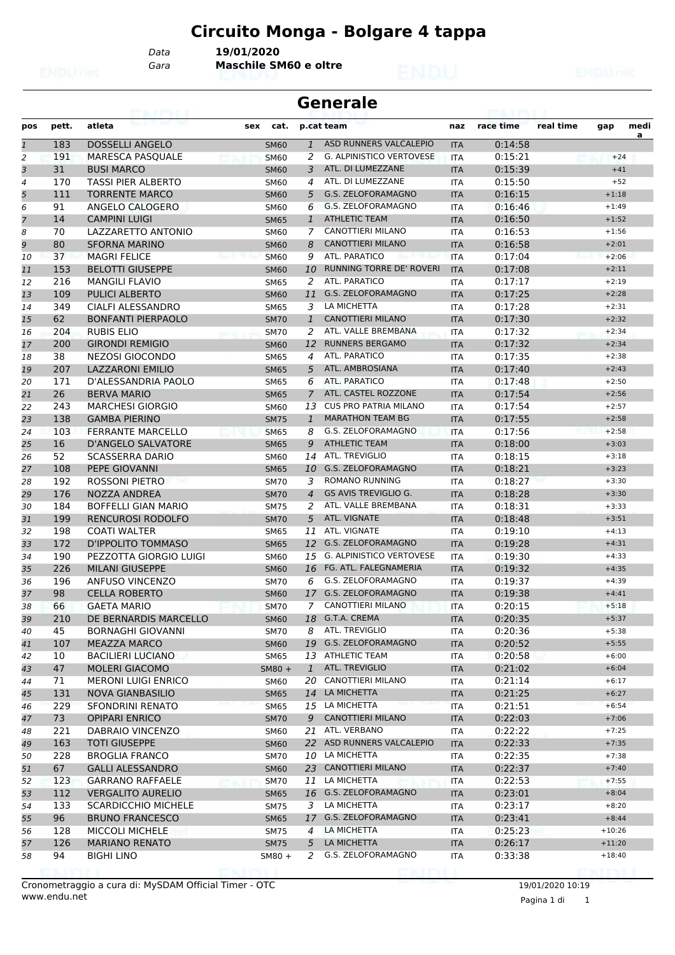# **Circuito Monga - Bolgare 4 tappa**

*Data* **19/01/2020**

*Gara* **Maschile SM60 e oltre**

#### **Generale**

| pos            | pett. | atleta                     | cat.<br>sex |                | p.cat team                      | naz        | race time | real time | gap      | medi |
|----------------|-------|----------------------------|-------------|----------------|---------------------------------|------------|-----------|-----------|----------|------|
| $\mathbf{1}$   | 183   | <b>DOSSELLI ANGELO</b>     | <b>SM60</b> | $\mathbf{1}$   | ASD RUNNERS VALCALEPIO          | <b>ITA</b> | 0:14:58   |           |          | a    |
| 2              | 191   | <b>MARESCA PASQUALE</b>    | <b>SM60</b> | 2              | <b>G. ALPINISTICO VERTOVESE</b> | <b>ITA</b> | 0:15:21   |           | $+24$    |      |
| 3              | 31    | <b>BUSI MARCO</b>          | <b>SM60</b> | 3              | ATL. DI LUMEZZANE               | <b>ITA</b> | 0:15:39   |           | $+41$    |      |
| 4              | 170   | <b>TASSI PIER ALBERTO</b>  | <b>SM60</b> | 4              | ATL. DI LUMEZZANE               | <b>ITA</b> | 0:15:50   |           | $+52$    |      |
| 5              | 111   | <b>TORRENTE MARCO</b>      | <b>SM60</b> | 5              | G.S. ZELOFORAMAGNO              | <b>ITA</b> | 0:16:15   |           | $+1:18$  |      |
| 6              | 91    | ANGELO CALOGERO            | <b>SM60</b> | 6              | G.S. ZELOFORAMAGNO              | <b>ITA</b> | 0:16:46   |           | $+1:49$  |      |
| $\overline{7}$ | 14    | <b>CAMPINI LUIGI</b>       | <b>SM65</b> | $\mathbf{1}$   | <b>ATHLETIC TEAM</b>            | <b>ITA</b> | 0:16:50   |           | $+1:52$  |      |
| 8              | 70    | LAZZARETTO ANTONIO         | <b>SM60</b> | 7              | <b>CANOTTIERI MILANO</b>        | <b>ITA</b> | 0:16:53   |           | $+1:56$  |      |
| 9              | 80    | <b>SFORNA MARINO</b>       | <b>SM60</b> | 8              | <b>CANOTTIERI MILANO</b>        | <b>ITA</b> | 0:16:58   |           | $+2:01$  |      |
| 10             | 37    | <b>MAGRI FELICE</b>        | <b>SM60</b> | 9              | ATL. PARATICO                   | <b>ITA</b> | 0:17:04   |           | $+2:06$  |      |
| 11             | 153   | <b>BELOTTI GIUSEPPE</b>    | <b>SM60</b> | 10             | <b>RUNNING TORRE DE' ROVERI</b> | <b>ITA</b> | 0:17:08   |           | $+2:11$  |      |
| 12             | 216   | <b>MANGILI FLAVIO</b>      | <b>SM65</b> | 2              | ATL. PARATICO                   | <b>ITA</b> | 0:17:17   |           | $+2:19$  |      |
| 13             | 109   | <b>PULICI ALBERTO</b>      | <b>SM60</b> | 11             | G.S. ZELOFORAMAGNO              | <b>ITA</b> | 0:17:25   |           | $+2:28$  |      |
| 14             | 349   | <b>CIALFI ALESSANDRO</b>   | <b>SM65</b> | 3              | LA MICHETTA                     | <b>ITA</b> | 0:17:28   |           | $+2:31$  |      |
| 15             | 62    | <b>BONFANTI PIERPAOLO</b>  | <b>SM70</b> | $\mathbf{1}$   | <b>CANOTTIERI MILANO</b>        | <b>ITA</b> | 0:17:30   |           | $+2:32$  |      |
| 16             | 204   | RUBIS ELIO                 | <b>SM70</b> | 2              | ATL. VALLE BREMBANA             | <b>ITA</b> | 0:17:32   |           | $+2:34$  |      |
| 17             | 200   | <b>GIRONDI REMIGIO</b>     | <b>SM60</b> | 12             | <b>RUNNERS BERGAMO</b>          | <b>ITA</b> | 0:17:32   |           | $+2:34$  |      |
| 18             | 38    | <b>NEZOSI GIOCONDO</b>     | <b>SM65</b> | 4              | ATL. PARATICO                   | <b>ITA</b> | 0:17:35   |           | $+2:38$  |      |
| 19             | 207   | <b>LAZZARONI EMILIO</b>    | <b>SM65</b> | 5              | ATL. AMBROSIANA                 | <b>ITA</b> | 0:17:40   |           | $+2:43$  |      |
| 20             | 171   | D'ALESSANDRIA PAOLO        | <b>SM65</b> | 6              | ATL. PARATICO                   | <b>ITA</b> | 0:17:48   |           | $+2:50$  |      |
| 21             | 26    | <b>BERVA MARIO</b>         | <b>SM65</b> | $\overline{7}$ | ATL. CASTEL ROZZONE             | <b>ITA</b> | 0:17:54   |           | $+2:56$  |      |
| 22             | 243   | <b>MARCHESI GIORGIO</b>    | <b>SM60</b> | 13             | <b>CUS PRO PATRIA MILANO</b>    | <b>ITA</b> | 0:17:54   |           | $+2:57$  |      |
| 23             | 138   | <b>GAMBA PIERINO</b>       | <b>SM75</b> | 1              | <b>MARATHON TEAM BG</b>         | <b>ITA</b> | 0:17:55   |           | $+2:58$  |      |
| 24             | 103   | <b>FERRANTE MARCELLO</b>   | <b>SM65</b> | 8              | G.S. ZELOFORAMAGNO              | <b>ITA</b> | 0:17:56   |           | $+2:58$  |      |
| 25             | 16    | <b>D'ANGELO SALVATORE</b>  | <b>SM65</b> | 9              | <b>ATHLETIC TEAM</b>            | <b>ITA</b> | 0:18:00   |           | $+3:03$  |      |
| 26             | 52    | <b>SCASSERRA DARIO</b>     | <b>SM60</b> |                | 14 ATL. TREVIGLIO               | <b>ITA</b> | 0:18:15   |           | $+3:18$  |      |
| 27             | 108   | PEPE GIOVANNI              | <b>SM65</b> | 10             | G.S. ZELOFORAMAGNO              | <b>ITA</b> | 0:18:21   |           | $+3:23$  |      |
| 28             | 192   | ROSSONI PIETRO             | <b>SM70</b> | 3              | <b>ROMANO RUNNING</b>           | <b>ITA</b> | 0:18:27   |           | $+3:30$  |      |
| 29             | 176   | NOZZA ANDREA               | <b>SM70</b> | $\overline{4}$ | <b>GS AVIS TREVIGLIO G.</b>     | <b>ITA</b> | 0:18:28   |           | $+3:30$  |      |
| 30             | 184   | <b>BOFFELLI GIAN MARIO</b> | <b>SM75</b> | 2              | ATL. VALLE BREMBANA             | <b>ITA</b> | 0:18:31   |           | $+3:33$  |      |
| 31             | 199   | <b>RENCUROSI RODOLFO</b>   | <b>SM70</b> | 5              | ATL. VIGNATE                    | <b>ITA</b> | 0:18:48   |           | $+3:51$  |      |
| 32             | 198   | <b>COATI WALTER</b>        | <b>SM65</b> | 11             | ATL. VIGNATE                    | <b>ITA</b> | 0:19:10   |           | $+4:13$  |      |
| 33             | 172   | D'IPPOLITO TOMMASO         | <b>SM65</b> | 12             | G.S. ZELOFORAMAGNO              | <b>ITA</b> | 0:19:28   |           | $+4:31$  |      |
| 34             | 190   | PEZZOTTA GIORGIO LUIGI     | <b>SM60</b> | 15             | <b>G. ALPINISTICO VERTOVESE</b> | <b>ITA</b> | 0:19:30   |           | $+4:33$  |      |
| 35             | 226   | <b>MILANI GIUSEPPE</b>     | <b>SM60</b> | 16             | FG. ATL. FALEGNAMERIA           | <b>ITA</b> | 0:19:32   |           | $+4:35$  |      |
| 36             | 196   | ANFUSO VINCENZO            | <b>SM70</b> | 6              | G.S. ZELOFORAMAGNO              | ITA        | 0:19:37   |           | $+4:39$  |      |
| 37             | 98    | <b>CELLA ROBERTO</b>       | <b>SM60</b> |                | 17 G.S. ZELOFORAMAGNO           | <b>ITA</b> | 0:19:38   |           | $+4:41$  |      |
| 38             | 66    | <b>GAETA MARIO</b>         | <b>SM70</b> | 7              | <b>CANOTTIERI MILANO</b>        | <b>ITA</b> | 0:20:15   |           | $+5:18$  |      |
| 39             | 210   | DE BERNARDIS MARCELLO      | <b>SM60</b> |                | 18 G.T.A. CREMA                 | <b>ITA</b> | 0:20:35   |           | $+5:37$  |      |
| 40             | 45    | <b>BORNAGHI GIOVANNI</b>   | <b>SM70</b> |                | 8 ATL. TREVIGLIO                | ITA        | 0:20:36   |           | $+5:38$  |      |
| 41             | 107   | <b>MEAZZA MARCO</b>        | <b>SM60</b> |                | 19 G.S. ZELOFORAMAGNO           | <b>ITA</b> | 0:20:52   |           | $+5:55$  |      |
| 42             | 10    | BACILIERI LUCIANO          | <b>SM65</b> |                | 13 ATHLETIC TEAM                | ITA        | 0:20:58   |           | $+6:00$  |      |
| 43             | 47    | <b>MOLERI GIACOMO</b>      | $5M80 +$    |                | 1 ATL. TREVIGLIO                | <b>ITA</b> | 0:21:02   |           | $+6:04$  |      |
| 44             | 71    | <b>MERONI LUIGI ENRICO</b> | <b>SM60</b> |                | 20 CANOTTIERI MILANO            | ITA        | 0:21:14   |           | $+6:17$  |      |
| 45             | 131   | <b>NOVA GIANBASILIO</b>    | <b>SM65</b> | 14             | LA MICHETTA                     | <b>ITA</b> | 0:21:25   |           | $+6:27$  |      |
| 46             | 229   | SFONDRINI RENATO           | <b>SM65</b> |                | 15 LA MICHETTA                  | ITA        | 0:21:51   |           | $+6:54$  |      |
| 47             | 73    | <b>OPIPARI ENRICO</b>      | <b>SM70</b> | 9              | <b>CANOTTIERI MILANO</b>        | <b>ITA</b> | 0:22:03   |           | $+7:06$  |      |
| 48             | 221   | DABRAIO VINCENZO           | <b>SM60</b> |                | 21 ATL. VERBANO                 | ITA        | 0:22:22   |           | $+7:25$  |      |
| 49             | 163   | <b>TOTI GIUSEPPE</b>       | <b>SM60</b> |                | 22 ASD RUNNERS VALCALEPIO       | <b>ITA</b> | 0:22:33   |           | $+7:35$  |      |
| 50             | 228   | <b>BROGLIA FRANCO</b>      | <b>SM70</b> |                | 10 LA MICHETTA                  | ITA        | 0:22:35   |           | $+7:38$  |      |
| 51             | 67    | <b>GALLI ALESSANDRO</b>    | <b>SM60</b> |                | 23 CANOTTIERI MILANO            | <b>ITA</b> | 0:22:37   |           | $+7:40$  |      |
| 52             | 123   | <b>GARRANO RAFFAELE</b>    | <b>SM70</b> |                | 11 LA MICHETTA                  | ITA        | 0:22:53   |           | $+7:55$  |      |
| 53             | 112   | <b>VERGALITO AURELIO</b>   | <b>SM65</b> |                | 16 G.S. ZELOFORAMAGNO           | <b>ITA</b> | 0:23:01   |           | $+8:04$  |      |
| 54             | 133   | <b>SCARDICCHIO MICHELE</b> | <b>SM75</b> |                | 3 LA MICHETTA                   | ITA        | 0:23:17   |           | $+8:20$  |      |
| 55             | 96    | <b>BRUNO FRANCESCO</b>     | <b>SM65</b> |                | 17 G.S. ZELOFORAMAGNO           | <b>ITA</b> | 0:23:41   |           | $+8:44$  |      |
| 56             | 128   | MICCOLI MICHELE            | <b>SM75</b> | $\overline{4}$ | LA MICHETTA                     | ITA        | 0:25:23   |           | $+10:26$ |      |
| 57             | 126   | <b>MARIANO RENATO</b>      | <b>SM75</b> | 5              | LA MICHETTA                     | <b>ITA</b> | 0:26:17   |           | $+11:20$ |      |
| 58             | 94    | <b>BIGHI LINO</b>          | $5M80 +$    | 2              | G.S. ZELOFORAMAGNO              | ITA        | 0:33:38   |           | $+18:40$ |      |

19/01/2020 10:19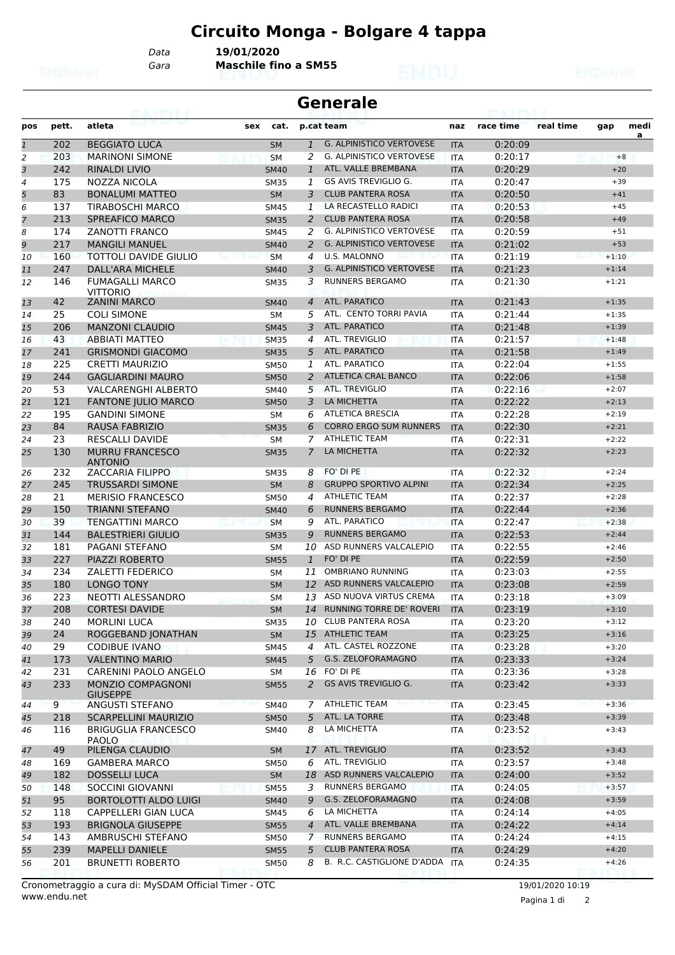### **Circuito Monga - Bolgare 4 tappa**

**Generale**

*Gara* **Maschile fino a SM55** *Data* **19/01/2020**

| pos                       | pett. | atleta                                      | sex | cat.        |                | p.cat team                      | naz        | race time | real time | gap     | medi<br>a |
|---------------------------|-------|---------------------------------------------|-----|-------------|----------------|---------------------------------|------------|-----------|-----------|---------|-----------|
| $\overline{\mathfrak{1}}$ | 202   | <b>BEGGIATO LUCA</b>                        |     | <b>SM</b>   | $\mathbf{1}$   | <b>G. ALPINISTICO VERTOVESE</b> | <b>ITA</b> | 0:20:09   |           |         |           |
| 2                         | 203   | <b>MARINONI SIMONE</b>                      |     | <b>SM</b>   | 2              | <b>G. ALPINISTICO VERTOVESE</b> | <b>ITA</b> | 0:20:17   |           | $+8$    |           |
| 3                         | 242   | <b>RINALDI LIVIO</b>                        |     | <b>SM40</b> | $\mathbf{1}$   | ATL. VALLE BREMBANA             | <b>ITA</b> | 0:20:29   |           | $+20$   |           |
| 4                         | 175   | NOZZA NICOLA                                |     | <b>SM35</b> | 1              | GS AVIS TREVIGLIO G.            | <b>ITA</b> | 0:20:47   |           | $+39$   |           |
| 5                         | 83    | <b>BONALUMI MATTEO</b>                      |     | <b>SM</b>   | 3              | <b>CLUB PANTERA ROSA</b>        | <b>ITA</b> | 0:20:50   |           | $+41$   |           |
| 6                         | 137   | <b>TIRABOSCHI MARCO</b>                     |     | <b>SM45</b> | 1              | LA RECASTELLO RADICI            | ITA        | 0:20:53   |           | $+45$   |           |
| 7                         | 213   | <b>SPREAFICO MARCO</b>                      |     | <b>SM35</b> | $\overline{2}$ | <b>CLUB PANTERA ROSA</b>        | <b>ITA</b> | 0:20:58   |           | $+49$   |           |
| 8                         | 174   | <b>ZANOTTI FRANCO</b>                       |     | <b>SM45</b> | 2              | <b>G. ALPINISTICO VERTOVESE</b> | <b>ITA</b> | 0:20:59   |           | $+51$   |           |
| 9                         | 217   | <b>MANGILI MANUEL</b>                       |     | <b>SM40</b> | 2              | <b>G. ALPINISTICO VERTOVESE</b> | <b>ITA</b> | 0:21:02   |           | $+53$   |           |
| 10                        | 160   | <b>TOTTOLI DAVIDE GIULIO</b>                |     | <b>SM</b>   | 4              | U.S. MALONNO                    | <b>ITA</b> | 0:21:19   |           | $+1:10$ |           |
| 11                        | 247   | DALL'ARA MICHELE                            |     | <b>SM40</b> | 3              | <b>G. ALPINISTICO VERTOVESE</b> | <b>ITA</b> | 0:21:23   |           | $+1:14$ |           |
| 12                        | 146   | <b>FUMAGALLI MARCO</b><br><b>VITTORIO</b>   |     | <b>SM35</b> | 3              | <b>RUNNERS BERGAMO</b>          | <b>ITA</b> | 0:21:30   |           | $+1:21$ |           |
| 13                        | 42    | <b>ZANINI MARCO</b>                         |     | <b>SM40</b> | $\overline{4}$ | ATL. PARATICO                   | <b>ITA</b> | 0:21:43   |           | $+1:35$ |           |
| 14                        | 25    | <b>COLI SIMONE</b>                          |     | SM          | 5              | ATL. CENTO TORRI PAVIA          | ITA        | 0:21:44   |           | $+1:35$ |           |
| 15                        | 206   | <b>MANZONI CLAUDIO</b>                      |     | <b>SM45</b> | 3              | ATL. PARATICO                   | <b>ITA</b> | 0:21:48   |           | $+1:39$ |           |
| 16                        | 43    | <b>ABBIATI MATTEO</b>                       |     | <b>SM35</b> | 4              | ATL. TREVIGLIO                  | ITA        | 0:21:57   |           | $+1:48$ |           |
| 17                        | 241   | <b>GRISMONDI GIACOMO</b>                    |     | <b>SM35</b> | 5              | ATL. PARATICO                   | <b>ITA</b> | 0:21:58   |           | $+1:49$ |           |
| 18                        | 225   | <b>CRETTI MAURIZIO</b>                      |     | <b>SM50</b> | 1              | ATL. PARATICO                   | <b>ITA</b> | 0:22:04   |           | $+1:55$ |           |
| 19                        | 244   | <b>GAGLIARDINI MAURO</b>                    |     | <b>SM50</b> | 2              | ATLETICA CRAL BANCO             | <b>ITA</b> | 0:22:06   |           | $+1:58$ |           |
| 20                        | 53    | <b>VALCARENGHI ALBERTO</b>                  |     | <b>SM40</b> | 5              | ATL. TREVIGLIO                  | <b>ITA</b> | 0:22:16   |           | $+2:07$ |           |
| 21                        | 121   | <b>FANTONE JULIO MARCO</b>                  |     | <b>SM50</b> | 3              | LA MICHETTA                     | <b>ITA</b> | 0:22:22   |           | $+2:13$ |           |
| 22                        | 195   | <b>GANDINI SIMONE</b>                       |     | <b>SM</b>   | 6              | <b>ATLETICA BRESCIA</b>         | <b>ITA</b> | 0:22:28   |           | $+2:19$ |           |
| 23                        | 84    | RAUSA FABRIZIO                              |     | <b>SM35</b> | 6              | <b>CORRO ERGO SUM RUNNERS</b>   | <b>ITA</b> | 0:22:30   |           | $+2:21$ |           |
| 24                        | 23    | RESCALLI DAVIDE                             |     | <b>SM</b>   | 7              | <b>ATHLETIC TEAM</b>            | <b>ITA</b> | 0:22:31   |           | $+2:22$ |           |
| 25                        | 130   | <b>MURRU FRANCESCO</b><br><b>ANTONIO</b>    |     | <b>SM35</b> | $\overline{7}$ | LA MICHETTA                     | <b>ITA</b> | 0:22:32   |           | $+2:23$ |           |
| 26                        | 232   | <b>ZACCARIA FILIPPO</b>                     |     | <b>SM35</b> | 8              | FO' DI PE                       | <b>ITA</b> | 0:22:32   |           | $+2:24$ |           |
| 27                        | 245   | <b>TRUSSARDI SIMONE</b>                     |     | <b>SM</b>   | 8              | <b>GRUPPO SPORTIVO ALPINI</b>   | <b>ITA</b> | 0:22:34   |           | $+2:25$ |           |
| 28                        | 21    | <b>MERISIO FRANCESCO</b>                    |     | <b>SM50</b> | 4              | <b>ATHLETIC TEAM</b>            | <b>ITA</b> | 0:22:37   |           | $+2:28$ |           |
| 29                        | 150   | <b>TRIANNI STEFANO</b>                      |     | <b>SM40</b> | 6              | <b>RUNNERS BERGAMO</b>          | <b>ITA</b> | 0:22:44   |           | $+2:36$ |           |
| 30                        | 39    | <b>TENGATTINI MARCO</b>                     |     | <b>SM</b>   | 9              | ATL. PARATICO                   | <b>ITA</b> | 0:22:47   |           | $+2:38$ |           |
| 31                        | 144   | <b>BALESTRIERI GIULIO</b>                   |     | <b>SM35</b> | 9              | <b>RUNNERS BERGAMO</b>          | <b>ITA</b> | 0:22:53   |           | $+2:44$ |           |
| 32                        | 181   | PAGANI STEFANO                              |     | <b>SM</b>   |                | 10 ASD RUNNERS VALCALEPIO       | ITA        | 0:22:55   |           | $+2:46$ |           |
| 33                        | 227   | PIAZZI ROBERTO                              |     | <b>SM55</b> | $\mathbf{1}$   | FO' DI PE                       | <b>ITA</b> | 0:22:59   |           | $+2:50$ |           |
| 34                        | 234   | ZALETTI FEDERICO                            |     | <b>SM</b>   | 11             | <b>OMBRIANO RUNNING</b>         | <b>ITA</b> | 0:23:03   |           | $+2:55$ |           |
| 35                        | 180   | <b>LONGO TONY</b>                           |     | <b>SM</b>   |                | 12 ASD RUNNERS VALCALEPIO       | <b>ITA</b> | 0:23:08   |           | $+2:59$ |           |
| 36                        | 223   | NEOTTI ALESSANDRO                           |     | <b>SM</b>   |                | 13 ASD NUOVA VIRTUS CREMA       | <b>ITA</b> | 0:23:18   |           | $+3:09$ |           |
| 37                        | 208   | <b>CORTESI DAVIDE</b>                       |     | <b>SM</b>   | 14             | <b>RUNNING TORRE DE' ROVERI</b> | <b>ITA</b> | 0:23:19   |           | $+3:10$ |           |
| 38                        | 240   | <b>MORLINI LUCA</b>                         |     | <b>SM35</b> |                | 10 CLUB PANTERA ROSA            | <b>ITA</b> | 0:23:20   |           | $+3:12$ |           |
| 39                        | 24    | ROGGEBAND JONATHAN                          |     | <b>SM</b>   |                | 15 ATHLETIC TEAM                | <b>ITA</b> | 0:23:25   |           | $+3:16$ |           |
| 40                        | 29    | <b>CODIBUE IVANO</b>                        |     | <b>SM45</b> | 4              | ATL. CASTEL ROZZONE             | ITA        | 0:23:28   |           | $+3:20$ |           |
| 41                        | 173   | <b>VALENTINO MARIO</b>                      |     | <b>SM45</b> | 5              | G.S. ZELOFORAMAGNO              | <b>ITA</b> | 0:23:33   |           | $+3:24$ |           |
| 42                        | 231   | CARENINI PAOLO ANGELO                       |     | SM          |                | 16 FO' DI PE                    | <b>ITA</b> | 0:23:36   |           | $+3:28$ |           |
| 43                        | 233   | <b>MONZIO COMPAGNONI</b><br><b>GIUSEPPE</b> |     | <b>SM55</b> | $\overline{2}$ | GS AVIS TREVIGLIO G.            | <b>ITA</b> | 0:23:42   |           | $+3:33$ |           |
| 44                        | 9     | ANGUSTI STEFANO                             |     | <b>SM40</b> | 7              | <b>ATHLETIC TEAM</b>            | <b>ITA</b> | 0:23:45   |           | $+3:36$ |           |
| 45                        | 218   | <b>SCARPELLINI MAURIZIO</b>                 |     | <b>SM50</b> | 5              | ATL. LA TORRE                   | <b>ITA</b> | 0:23:48   |           | $+3:39$ |           |
| 46                        | 116   | BRIGUGLIA FRANCESCO<br>PAOLO                |     | <b>SM40</b> | 8              | LA MICHETTA                     | ITA        | 0:23:52   |           | $+3:43$ |           |
| 47                        | 49    | PILENGA CLAUDIO                             |     | <b>SM</b>   |                | 17 ATL. TREVIGLIO               | <b>ITA</b> | 0:23:52   |           | $+3:43$ |           |
| 48                        | 169   | <b>GAMBERA MARCO</b>                        |     | <b>SM50</b> | 6              | ATL. TREVIGLIO                  | ITA        | 0:23:57   |           | $+3:48$ |           |
| 49                        | 182   | <b>DOSSELLI LUCA</b>                        |     | <b>SM</b>   |                | 18 ASD RUNNERS VALCALEPIO       | <b>ITA</b> | 0:24:00   |           | $+3:52$ |           |
| 50                        | 148   | SOCCINI GIOVANNI                            |     | <b>SM55</b> | 3              | <b>RUNNERS BERGAMO</b>          | <b>ITA</b> | 0:24:05   |           | $+3:57$ |           |
| 51                        | 95    | BORTOLOTTI ALDO LUIGI                       |     | <b>SM40</b> | 9              | G.S. ZELOFORAMAGNO              | <b>ITA</b> | 0:24:08   |           | $+3:59$ |           |
| 52                        | 118   | CAPPELLERI GIAN LUCA                        |     | SM45        | 6              | LA MICHETTA                     | ITA        | 0:24:14   |           | $+4:05$ |           |
| 53                        | 193   | <b>BRIGNOLA GIUSEPPE</b>                    |     | <b>SM55</b> | $\overline{4}$ | ATL. VALLE BREMBANA             | <b>ITA</b> | 0:24:22   |           | $+4:14$ |           |
| 54                        | 143   | AMBRUSCHI STEFANO                           |     | <b>SM50</b> | $\overline{7}$ | <b>RUNNERS BERGAMO</b>          | ITA        | 0:24:24   |           | $+4:15$ |           |
| 55                        | 239   | <b>MAPELLI DANIELE</b>                      |     | <b>SM55</b> | 5              | <b>CLUB PANTERA ROSA</b>        | <b>ITA</b> | 0:24:29   |           | $+4:20$ |           |
| 56                        | 201   | <b>BRUNETTI ROBERTO</b>                     |     | <b>SM50</b> | 8              | B. R.C. CASTIGLIONE D'ADDA ITA  |            | 0:24:35   |           | $+4:26$ |           |
|                           |       |                                             |     |             |                |                                 |            |           |           |         |           |

Pagina 1 di 2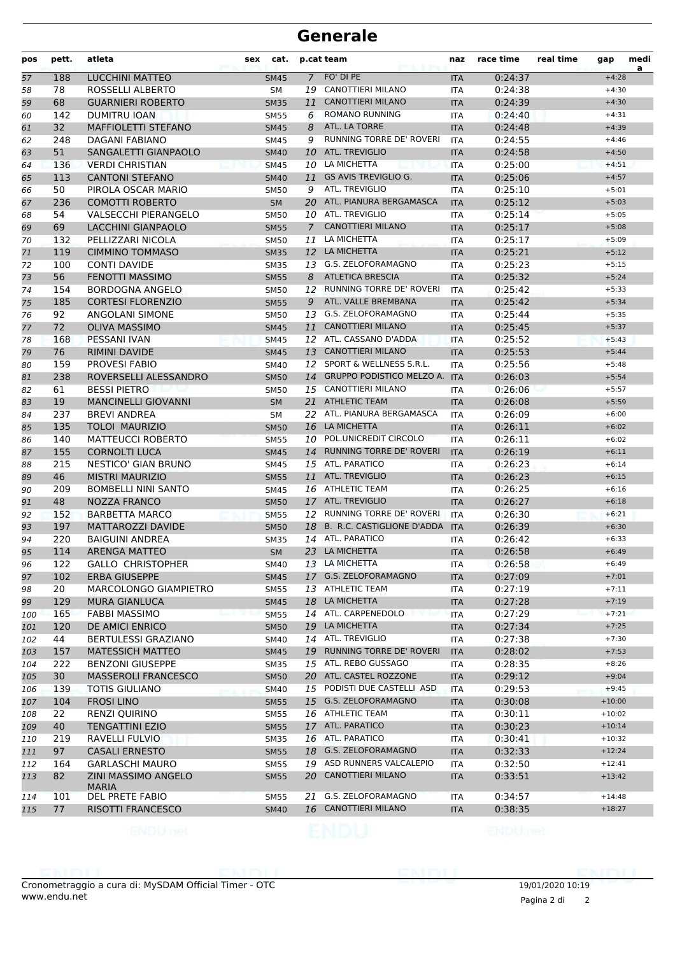### **Generale**

| pos | pett. | atleta                              | cat.<br>sex |                | p.cat team                       | naz        | race time | real time | gap      | medi<br>a |
|-----|-------|-------------------------------------|-------------|----------------|----------------------------------|------------|-----------|-----------|----------|-----------|
| 57  | 188   | <b>LUCCHINI MATTEO</b>              | <b>SM45</b> | $\overline{7}$ | FO' DI PE                        | <b>ITA</b> | 0:24:37   |           | $+4:28$  |           |
| 58  | 78    | ROSSELLI ALBERTO                    | <b>SM</b>   | 19             | CANOTTIERI MILANO                | <b>ITA</b> | 0:24:38   |           | $+4:30$  |           |
| 59  | 68    | <b>GUARNIERI ROBERTO</b>            | <b>SM35</b> | 11             | <b>CANOTTIERI MILANO</b>         | <b>ITA</b> | 0:24:39   |           | $+4:30$  |           |
| 60  | 142   | <b>DUMITRU IOAN</b>                 | <b>SM55</b> | 6              | <b>ROMANO RUNNING</b>            | <b>ITA</b> | 0:24:40   |           | $+4:31$  |           |
| 61  | 32    | <b>MAFFIOLETTI STEFANO</b>          | <b>SM45</b> | 8              | ATL. LA TORRE                    | <b>ITA</b> | 0:24:48   |           | $+4:39$  |           |
| 62  | 248   | DAGANI FABIANO                      | <b>SM45</b> | 9              | RUNNING TORRE DE' ROVERI         | <b>ITA</b> | 0:24:55   |           | $+4:46$  |           |
| 63  | 51    | SANGALETTI GIANPAOLO                | <b>SM40</b> | 10             | <b>ATL. TREVIGLIO</b>            | <b>ITA</b> | 0:24:58   |           | $+4:50$  |           |
| 64  | 136   | <b>VERDI CHRISTIAN</b>              | <b>SM45</b> |                | 10 LA MICHETTA                   | <b>ITA</b> | 0:25:00   |           | $+4:51$  |           |
| 65  | 113   | <b>CANTONI STEFANO</b>              | <b>SM40</b> |                | 11 GS AVIS TREVIGLIO G.          | <b>ITA</b> | 0:25:06   |           | $+4:57$  |           |
| 66  | 50    | PIROLA OSCAR MARIO                  | <b>SM50</b> | 9              | ATL. TREVIGLIO                   | <b>ITA</b> | 0:25:10   |           | $+5:01$  |           |
| 67  | 236   | <b>COMOTTI ROBERTO</b>              | <b>SM</b>   | 20             | ATL. PIANURA BERGAMASCA          | <b>ITA</b> | 0:25:12   |           | $+5:03$  |           |
| 68  | 54    | <b>VALSECCHI PIERANGELO</b>         | <b>SM50</b> |                | 10 ATL. TREVIGLIO                | <b>ITA</b> | 0:25:14   |           | $+5:05$  |           |
| 69  | 69    | <b>LACCHINI GIANPAOLO</b>           | <b>SM55</b> | $\overline{7}$ | <b>CANOTTIERI MILANO</b>         | <b>ITA</b> | 0:25:17   |           | $+5:08$  |           |
| 70  | 132   | PELLIZZARI NICOLA                   | SM50        | 11             | LA MICHETTA                      | <b>ITA</b> | 0:25:17   |           | $+5:09$  |           |
| 71  | 119   | <b>CIMMINO TOMMASO</b>              | <b>SM35</b> |                | 12 LA MICHETTA                   | <b>ITA</b> | 0:25:21   |           | $+5:12$  |           |
| 72  | 100   | <b>CONTI DAVIDE</b>                 | <b>SM35</b> | 13             | <b>G.S. ZELOFORAMAGNO</b>        | <b>ITA</b> | 0:25:23   |           | $+5:15$  |           |
| 73  | 56    | <b>FENOTTI MASSIMO</b>              | <b>SM55</b> | 8              | <b>ATLETICA BRESCIA</b>          | <b>ITA</b> | 0:25:32   |           | $+5:24$  |           |
| 74  | 154   | <b>BORDOGNA ANGELO</b>              | <b>SM50</b> | 12             | RUNNING TORRE DE' ROVERI         | <b>ITA</b> | 0:25:42   |           | $+5:33$  |           |
| 75  | 185   | <b>CORTESI FLORENZIO</b>            | <b>SM55</b> | 9              | ATL. VALLE BREMBANA              | <b>ITA</b> | 0:25:42   |           | $+5:34$  |           |
| 76  | 92    | ANGOLANI SIMONE                     | SM50        |                | 13 G.S. ZELOFORAMAGNO            | <b>ITA</b> | 0:25:44   |           | $+5:35$  |           |
| 77  | 72    | <b>OLIVA MASSIMO</b>                | <b>SM45</b> | 11             | <b>CANOTTIERI MILANO</b>         | <b>ITA</b> | 0:25:45   |           | $+5:37$  |           |
| 78  | 168   | <b>PESSANI IVAN</b>                 | <b>SM45</b> | 12             | ATL. CASSANO D'ADDA              | <b>ITA</b> | 0:25:52   |           | $+5:43$  |           |
| 79  | 76    | <b>RIMINI DAVIDE</b>                | <b>SM45</b> | 13             | <b>CANOTTIERI MILANO</b>         | <b>ITA</b> | 0:25:53   |           | $+5:44$  |           |
| 80  | 159   | <b>PROVESI FABIO</b>                | SM40        | 12             | SPORT & WELLNESS S.R.L.          | <b>ITA</b> | 0:25:56   |           | $+5:48$  |           |
| 81  | 238   | ROVERSELLI ALESSANDRO               | <b>SM50</b> | 14             | <b>GRUPPO PODISTICO MELZO A.</b> | <b>ITA</b> | 0:26:03   |           | $+5:54$  |           |
| 82  | 61    | <b>BESSI PIETRO</b>                 | SM50        |                | 15 CANOTTIERI MILANO             | ITA        | 0:26:06   |           | $+5:57$  |           |
| 83  | 19    | <b>MANCINELLI GIOVANNI</b>          | <b>SM</b>   | 21             | <b>ATHLETIC TEAM</b>             | <b>ITA</b> | 0:26:08   |           | $+5:59$  |           |
| 84  | 237   | <b>BREVI ANDREA</b>                 | <b>SM</b>   | 22             | ATL. PIANURA BERGAMASCA          | <b>ITA</b> | 0:26:09   |           | $+6:00$  |           |
| 85  | 135   | <b>TOLOI MAURIZIO</b>               | <b>SM50</b> |                | 16 LA MICHETTA                   | <b>ITA</b> | 0:26:11   |           | $+6:02$  |           |
| 86  | 140   | <b>MATTEUCCI ROBERTO</b>            | <b>SM55</b> |                | 10 POL.UNICREDIT CIRCOLO         | <b>ITA</b> | 0:26:11   |           | $+6:02$  |           |
| 87  | 155   | <b>CORNOLTI LUCA</b>                | <b>SM45</b> | 14             | <b>RUNNING TORRE DE' ROVERI</b>  | <b>ITA</b> | 0:26:19   |           | $+6:11$  |           |
| 88  | 215   | NESTICO' GIAN BRUNO                 | SM45        |                | 15 ATL. PARATICO                 | <b>ITA</b> | 0:26:23   |           | $+6:14$  |           |
| 89  | 46    | <b>MISTRI MAURIZIO</b>              | <b>SM55</b> |                | 11 ATL. TREVIGLIO                | <b>ITA</b> | 0:26:23   |           | $+6:15$  |           |
| 90  | 209   | <b>BOMBELLI NINI SANTO</b>          | SM45        |                | 16 ATHLETIC TEAM                 | <b>ITA</b> | 0:26:25   |           | $+6:16$  |           |
| 91  | 48    | <b>NOZZA FRANCO</b>                 | <b>SM50</b> |                | 17 ATL. TREVIGLIO                | <b>ITA</b> | 0:26:27   |           | $+6:18$  |           |
| 92  | 152   | <b>BARBETTA MARCO</b>               | <b>SM55</b> | 12             | <b>RUNNING TORRE DE' ROVERI</b>  | <b>ITA</b> | 0:26:30   |           | $+6:21$  |           |
| 93  | 197   | MATTAROZZI DAVIDE                   | <b>SM50</b> | 18             | B. R.C. CASTIGLIONE D'ADDA       | <b>ITA</b> | 0:26:39   |           | $+6:30$  |           |
| 94  | 220   | <b>BAIGUINI ANDREA</b>              | <b>SM35</b> |                | 14 ATL. PARATICO                 | <b>ITA</b> | 0:26:42   |           | $+6:33$  |           |
| 95  | 114   | <b>ARENGA MATTEO</b>                | <b>SM</b>   |                | 23 LA MICHETTA                   | <b>ITA</b> | 0:26:58   |           | $+6:49$  |           |
| 96  | 122   | <b>GALLO CHRISTOPHER</b>            | SM40        |                | 13 LA MICHETTA                   | ITA        | 0:26:58   |           | $+6:49$  |           |
| 97  | 102   | <b>ERBA GIUSEPPE</b>                | <b>SM45</b> |                | 17 G.S. ZELOFORAMAGNO            | <b>ITA</b> | 0:27:09   |           | $+7:01$  |           |
| 98  | 20    | <b>MARCOLONGO GIAMPIETRO</b>        | <b>SM55</b> |                | 13 ATHLETIC TEAM                 | ITA        | 0:27:19   |           | $+7:11$  |           |
| 99  | 129   | <b>MURA GIANLUCA</b>                | <b>SM45</b> |                | 18 LA MICHETTA                   | <b>ITA</b> | 0:27:28   |           | $+7:19$  |           |
| 100 | 165   | <b>FABBI MASSIMO</b>                | <b>SM55</b> |                | 14 ATL. CARPENEDOLO              | ITA        | 0:27:29   |           | $+7:21$  |           |
| 101 | 120   | DE AMICI ENRICO                     | <b>SM50</b> |                | 19 LA MICHETTA                   | <b>ITA</b> | 0:27:34   |           | $+7:25$  |           |
| 102 | 44    | <b>BERTULESSI GRAZIANO</b>          | SM40        |                | 14 ATL. TREVIGLIO                | ITA        | 0:27:38   |           | $+7:30$  |           |
| 103 | 157   | <b>MATESSICH MATTEO</b>             | <b>SM45</b> |                | 19 RUNNING TORRE DE' ROVERI      | <b>ITA</b> | 0:28:02   |           | $+7:53$  |           |
| 104 | 222   | <b>BENZONI GIUSEPPE</b>             | <b>SM35</b> |                | 15 ATL. REBO GUSSAGO             | ITA        | 0:28:35   |           | $+8:26$  |           |
| 105 | 30    | <b>MASSEROLI FRANCESCO</b>          | <b>SM50</b> |                | 20 ATL. CASTEL ROZZONE           | <b>ITA</b> | 0:29:12   |           | $+9:04$  |           |
| 106 | 139   | <b>TOTIS GIULIANO</b>               | <b>SM40</b> |                | 15 PODISTI DUE CASTELLI ASD      | ITA        | 0:29:53   |           | $+9:45$  |           |
| 107 | 104   | <b>FROSI LINO</b>                   | <b>SM55</b> |                | 15 G.S. ZELOFORAMAGNO            | <b>ITA</b> | 0:30:08   |           | $+10:00$ |           |
| 108 | 22    | <b>RENZI QUIRINO</b>                | SM55        |                | 16 ATHLETIC TEAM                 | ITA        | 0:30:11   |           | $+10:02$ |           |
| 109 | 40    | <b>TENGATTINI EZIO</b>              | <b>SM55</b> |                | 17 ATL. PARATICO                 | <b>ITA</b> | 0:30:23   |           | $+10:14$ |           |
| 110 | 219   | RAVELLI FULVIO                      | <b>SM35</b> |                | 16 ATL. PARATICO                 | ITA        | 0:30:41   |           | $+10:32$ |           |
| 111 | 97    | <b>CASALI ERNESTO</b>               | <b>SM55</b> |                | 18 G.S. ZELOFORAMAGNO            | <b>ITA</b> | 0:32:33   |           | $+12:24$ |           |
| 112 | 164   | <b>GARLASCHI MAURO</b>              | SM55        |                | 19 ASD RUNNERS VALCALEPIO        | ITA        | 0:32:50   |           | $+12:41$ |           |
| 113 | 82    | ZINI MASSIMO ANGELO<br><b>MARIA</b> | <b>SM55</b> |                | 20 CANOTTIERI MILANO             | <b>ITA</b> | 0:33:51   |           | $+13:42$ |           |
| 114 | 101   | <b>DEL PRETE FABIO</b>              | <b>SM55</b> | 21             | G.S. ZELOFORAMAGNO               | ITA        | 0:34:57   |           | $+14:48$ |           |
| 115 | 77    | RISOTTI FRANCESCO                   | <b>SM40</b> |                | 16 CANOTTIERI MILANO             | <b>ITA</b> | 0:38:35   |           | $+18:27$ |           |
|     |       |                                     |             |                |                                  |            |           |           |          |           |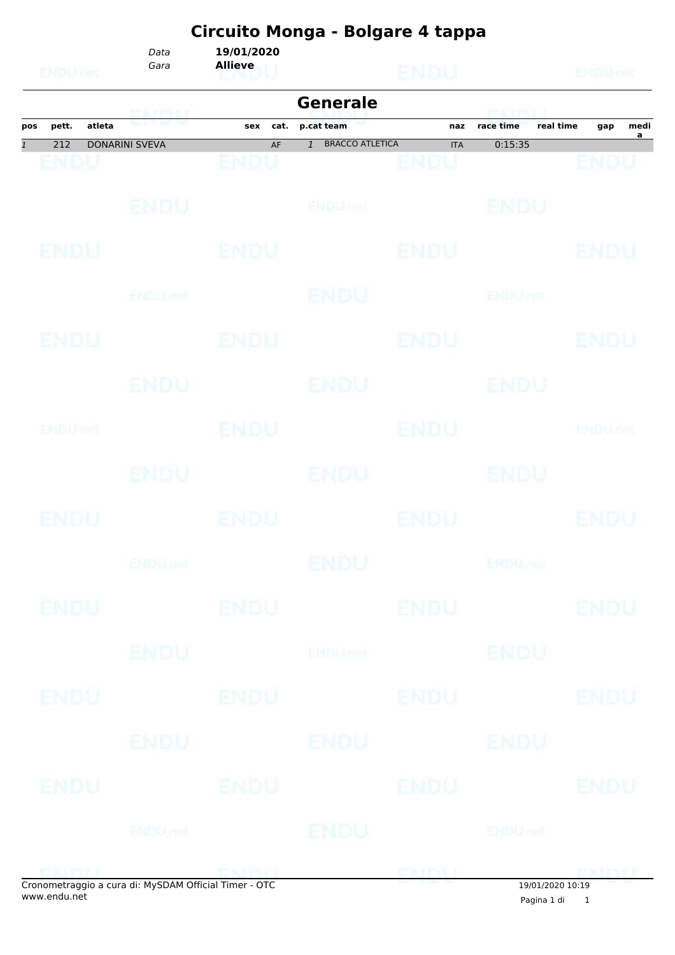|                           |             |        | Circuito Monga - Bolgare 4 tappa |                              |                                          |                    |                           |                                            |  |  |
|---------------------------|-------------|--------|----------------------------------|------------------------------|------------------------------------------|--------------------|---------------------------|--------------------------------------------|--|--|
|                           | ENDUnet     |        | Data<br>Gara                     | 19/01/2020<br><b>Allieve</b> |                                          | <b>ENDU</b>        |                           | ENDU <sub>nel</sub>                        |  |  |
|                           |             |        | GNINII                           |                              | <b>Generale</b>                          |                    | <b>PEACE PACE U</b>       |                                            |  |  |
| pos                       | pett.       | atleta |                                  | cat.<br>sex                  | p.cat team                               | naz                | race time                 | real time<br>medi<br>gap<br>$\overline{a}$ |  |  |
| $\overline{\mathfrak{1}}$ | 212<br>ENDU |        | <b>DONARINI SVEVA</b>            | AF<br>ENDU                   | <b>BRACCO ATLETICA</b><br>$\overline{1}$ | <b>ITA</b><br>ENDU | 0:15:35                   | ENDU                                       |  |  |
|                           |             |        | <b>ENDU</b>                      |                              | ENDULTEL                                 |                    | <b>BNDU</b>               |                                            |  |  |
|                           | <b>ENDU</b> |        |                                  | ENDU                         |                                          | <b>ENDU</b>        |                           | ENDU                                       |  |  |
|                           |             |        | ENDU, nel                        |                              | ENDU                                     |                    | <b>ENDUnet</b>            |                                            |  |  |
|                           | ENDU        |        |                                  | ENDU                         |                                          | ENDU               |                           | ENDU                                       |  |  |
|                           |             |        | ENDU                             |                              | ENDU                                     |                    | <b>ENDU</b>               |                                            |  |  |
|                           | ENDUMet     |        |                                  | <b>ENDU</b>                  |                                          | ENDU               |                           | <b>ENDUnet</b>                             |  |  |
|                           |             |        | <b>ENDU</b>                      |                              | <b>ENDU</b>                              |                    | ENDU                      |                                            |  |  |
|                           | ENDU        |        |                                  | <b>ENDU</b>                  |                                          | ENDU               |                           | ENDU                                       |  |  |
|                           |             |        | <b>ENDUmet</b>                   |                              | ENDU                                     |                    | <b>ENDU<sub>DER</sub></b> |                                            |  |  |
|                           | <b>ENDU</b> |        |                                  | <b>ENDU</b>                  |                                          | <b>ENDU</b>        |                           | <b>ENDU</b>                                |  |  |
|                           |             |        | <b>ENDU</b>                      |                              | <b>ENDUnet</b>                           |                    | <b>ENDU</b>               |                                            |  |  |
|                           | ENDU        |        |                                  | <b>ENDU</b>                  |                                          | <b>ENDU</b>        |                           | <b>ENDU</b>                                |  |  |
|                           |             |        | ENDU                             |                              | ENDU                                     |                    | ENDU                      |                                            |  |  |
|                           | ENDU        |        |                                  | <b>ENDU</b>                  |                                          | <b>ENDU</b>        |                           | <b>ENDU</b>                                |  |  |
|                           |             |        | ENDU nel                         |                              | ENDU                                     |                    | <b>ENDUmet</b>            |                                            |  |  |